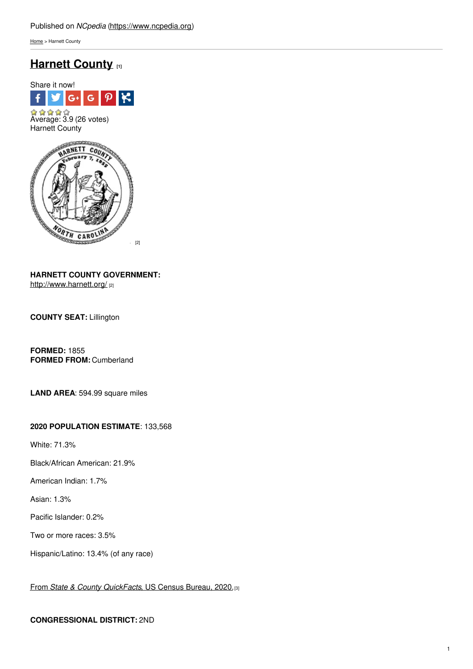[Home](https://www.ncpedia.org/) > Harnett County

# **[Harnett](https://www.ncpedia.org/geography/harnett) County [1]**



**HARNETT COUNTY GOVERNMENT:** <http://www.harnett.org/> [2]

**COUNTY SEAT:** Lillington

**FORMED:** 1855 **FORMED FROM:** Cumberland

**LAND AREA**: 594.99 square miles

### **2020 POPULATION ESTIMATE**: 133,568

White: 71.3%

Black/African American: 21.9%

American Indian: 1.7%

Asian: 1.3%

Pacific Islander: 0.2%

Two or more races: 3.5%

Hispanic/Latino: 13.4% (of any race)

From *State & County [QuickFacts](https://www.census.gov/quickfacts/fact/table/harnettcountynorthcarolina/POP010220)*, US Census Bureau, 2020.[3]

### **CONGRESSIONAL DISTRICT:** 2ND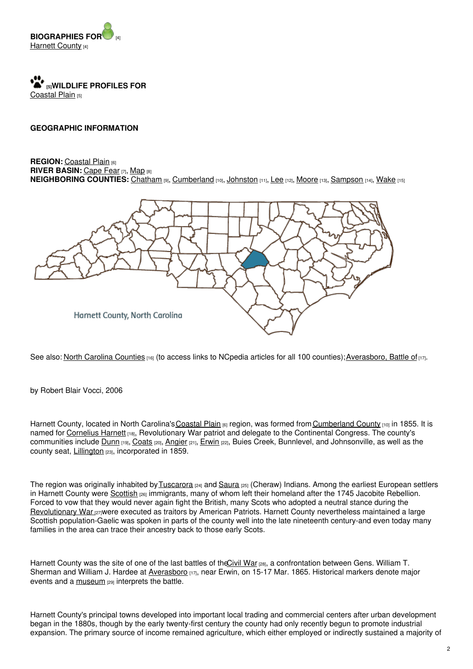

**[5]WILDLIFE PROFILES FOR** [Coastal](https://www.ncpedia.org/wildlife/coastal-plain) Plain [5]

### **GEOGRAPHIC INFORMATION**

### **REGION: [Coastal](https://www.ncpedia.org/geography/region/coastal-plain) Plain [6] RIVER BASIN:** [Cape](https://files.nc.gov/deqee/documents/files/cape-fear-river-basin.pdf) Fear [7], [Map](https://ncdenr.maps.arcgis.com/apps/PublicInformation/index.html?appid=f82f583438e74bf29adcc76247381eee) [8] **NEIGHBORING COUNTIES:** [Chatham](https://www.ncpedia.org/geography/chatham) [9], [Cumberland](https://www.ncpedia.org/geography/cumberland) [10], [Johnston](https://www.ncpedia.org/geography/johnston) [11], [Lee](https://www.ncpedia.org/geography/lee) [12], [Moore](https://www.ncpedia.org/geography/moore) [13], [Sampson](https://www.ncpedia.org/geography/sampson) [14], [Wake](https://www.ncpedia.org/geography/wake) [15]



See also: North Carolina [Counties](https://www.ncpedia.org/geography/counties) [16] (to access links to NCpedia articles for all 100 counties); [Averasboro,](https://www.ncpedia.org/averasboro-battle) Battle of [17].

by Robert Blair Vocci, 2006

Harnett County, located in North Carolina's Coastal Plain [6] region, was formed from [Cumberland](https://www.ncpedia.org/geography/cumberland) County [10] in 1855. It is named for [Cornelius](https://www.ncpedia.org/biography/harnett-cornelius) Harnett [18], Revolutionary War patriot and delegate to the Continental Congress. The county's communities include [Dunn](http://www.dunn-nc.org/) [19], [Coats](http://www.coatsnc.org/) [20], [Angier](https://www.angier.org/) [21], [Erwin](https://www.erwin-nc.org/) [22], Buies Creek, Bunnlevel, and Johnsonville, as well as the county seat, [Lillington](http://www.lillingtonnc.org/) [23], incorporated in 1859.

The region was originally inhabited by [Tuscarora](https://www.ncpedia.org/american-indians/tuscarora) [24] and [Saura](https://www.ncpedia.org/saura-indians) [25] (Cheraw) Indians. Among the earliest European settlers in Harnett County were [Scottish](https://www.ncpedia.org/scottish-settlers) <sub>[26]</sub> immigrants, many of whom left their homeland after the 1745 Jacobite Rebellion. Forced to vow that they would never again fight the British, many Scots who adopted a neutral stance during the [Revolutionary](https://www.ncpedia.org/american-revolution) War **[27]were executed as traitors by American Patriots. Harnett County nevertheless maintained a large** Scottish population-Gaelic was spoken in parts of the county well into the late nineteenth century-and even today many families in the area can trace their ancestry back to those early Scots.

Harnett County was the site of one of the last battles of the Civil War [28], a confrontation between Gens. William T. Sherman and William J. Hardee at [Averasboro](https://www.ncpedia.org/averasboro-battle) [17], near Erwin, on 15-17 Mar. 1865. Historical markers denote major events and a [museum](https://www.averasboro.com/) [29] interprets the battle.

Harnett County's principal towns developed into important local trading and commercial centers after urban development began in the 1880s, though by the early twenty-first century the county had only recently begun to promote industrial expansion. The primary source of income remained agriculture, which either employed or indirectly sustained a majority of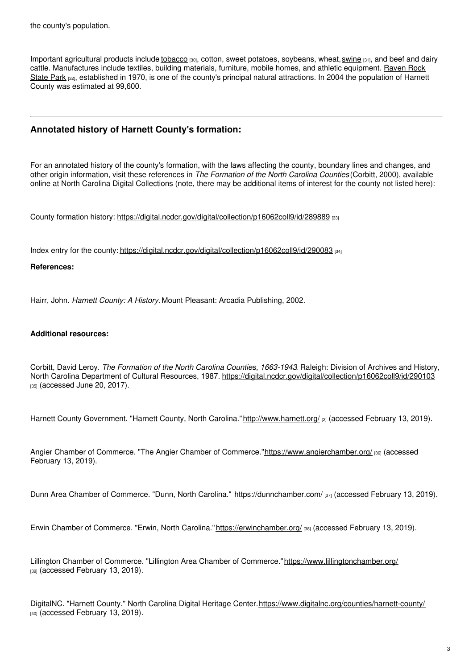Important agricultural products include [tobacco](https://www.ncpedia.org/tobacco) [30], cotton, sweet potatoes, soybeans, wheat, [swine](https://www.ncpedia.org/hog-farming) [31], and beef and dairy cattle. [Manufactures](https://www.ncparks.gov/raven-rock-state-park/home) include textiles, building materials, furniture, mobile homes, and athletic equipment. Raven Rock State Park [32], established in 1970, is one of the county's principal natural attractions. In 2004 the population of Harnett County was estimated at 99,600.

## **Annotated history of Harnett County's formation:**

For an annotated history of the county's formation, with the laws affecting the county, boundary lines and changes, and other origin information, visit these references in *The Formation of the North Carolina Counties* (Corbitt, 2000), available online at North Carolina Digital Collections (note, there may be additional items of interest for the county not listed here):

County formation history: <https://digital.ncdcr.gov/digital/collection/p16062coll9/id/289889> [33]

Index entry for the county: <https://digital.ncdcr.gov/digital/collection/p16062coll9/id/290083> [34]

### **References:**

Hairr, John. *Harnett County: A History.* Mount Pleasant: Arcadia Publishing, 2002.

### **Additional resources:**

Corbitt, David Leroy. *The Formation of the North Carolina Counties, 1663-1943*. Raleigh: Division of Archives and History, North Carolina Department of Cultural Resources, 1987. <https://digital.ncdcr.gov/digital/collection/p16062coll9/id/290103> [35] (accessed June 20, 2017).

Harnett County Government. "Harnett County, North Carolina." <http://www.harnett.org/> [2] (accessed February 13, 2019).

Angier Chamber of Commerce. "The Angier Chamber of Commerce.["https://www.angierchamber.org/](https://www.angierchamber.org/) [36] (accessed February 13, 2019).

Dunn Area Chamber of Commerce. "Dunn, North Carolina." <https://dunnchamber.com/> [37] (accessed February 13, 2019).

Erwin Chamber of Commerce. "Erwin, North Carolina." <https://erwinchamber.org/> [38] (accessed February 13, 2019).

Lillington Chamber of Commerce. "Lillington Area Chamber of Commerce."<https://www.lillingtonchamber.org/> [39] (accessed February 13, 2019).

DigitalNC. "Harnett County." North Carolina Digital Heritage Center. <https://www.digitalnc.org/counties/harnett-county/> [40] (accessed February 13, 2019).